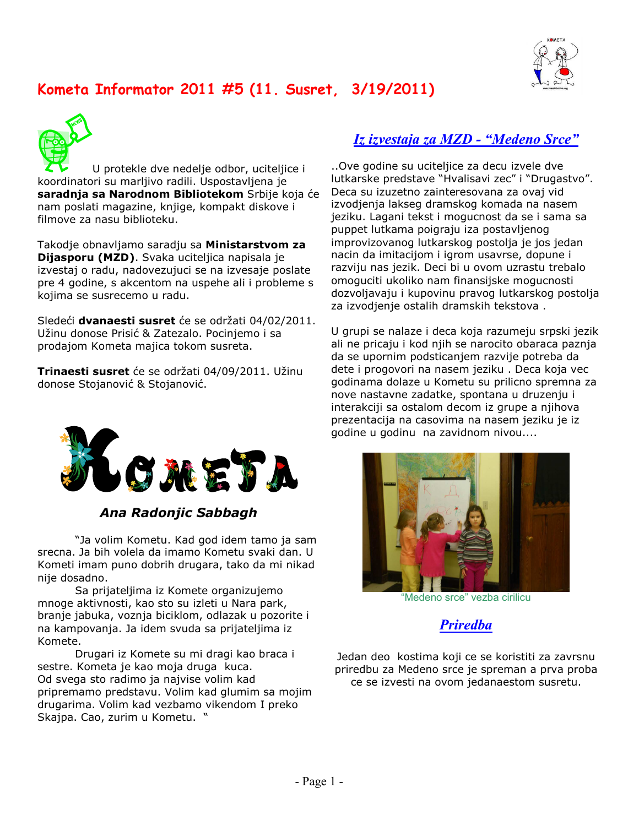

# Kometa Informator 2011 #5 (11. Susret,  $3/19/2011)$



U protekle dve nedelje odbor, uciteljice i koordinatori su marljivo radili. Uspostavljena je **saradnja sa Narodnom Bibliotekom** Srbije koja će nam poslati magazine, knjige, kompakt diskove i filmove za nasu biblioteku.

Takodje obnavljamo saradju sa **Ministarstvom za Dijasporu (MZD)**. Svaka uciteljica napisala je izvestaj o radu, nadovezujuci se na izvesaje poslate pre 4 godine, s akcentom na uspehe ali i probleme s kojima se susrecemo u radu.

Sledeći **dvanaesti susret** će se održati 04/02/2011. Užinu donose Prisić & Zatezalo. Pocinjemo i sa prodajom Kometa majica tokom susreta.

**Trinaesti susret** će se održati 04/09/2011. Užinu donose Stojanović & Stojanović.



#### Ana Radonjic Sabbagh

"Ja volim Kometu. Kad god idem tamo ja sam srecna. Ja bih volela da imamo Kometu svaki dan. U Kometi imam puno dobrih drugara, tako da mi nikad nije dosadno.

Sa prijateljima iz Komete organizujemo mnoge aktivnosti, kao sto su izleti u Nara park, branje jabuka, voznja biciklom, odlazak u pozorite i na kampovanja. Ja idem svuda sa prijateljima iz Komete.

Drugari iz Komete su mi dragi kao braca i sestre. Kometa je kao moja druga kuca. Od svega sto radimo ja najvise volim kad pripremamo predstavu. Volim kad glumim sa mojim drugarima. Volim kad vezbamo vikendom I preko Skajpa. Cao, zurim u Kometu. "

#### <u>**Iz izvestaja za MZD - "Medeno Srce"**</u>

Ove godine su uciteljice za decu izvele dve. lutkarske predstave "Hvalisavi zec" i "Drugastvo". Deca su izuzetno zainteresovana za ovaj vid izvodjenja lakseg dramskog komada na nasem jeziku. Lagani tekst i mogucnost da se i sama sa puppet lutkama poigraju iza postavljenog improvizovanog lutkarskog postolja je jos jedan nacin da imitacijom i igrom usavrse, dopune i razviju nas jezik. Deci bi u ovom uzrastu trebalo omoguciti ukoliko nam finansijske mogucnosti dozvoljavaju i kupovinu pravog lutkarskog postolja za izvodjenje ostalih dramskih tekstova .

U grupi se nalaze i deca koja razumeju srpski jezik ali ne pricaju i kod njih se narocito obaraca paznja da se upornim podsticanjem razvije potreba da dete i progovori na nasem jeziku . Deca koja vec godinama dolaze u Kometu su prilicno spremna za nove nastavne zadatke, spontana u druzenju i interakciji sa ostalom decom iz grupe a njihova prezentacija na casovima na nasem jeziku je iz godine u godinu na zavidnom nivou....



"Medeno srce" vezba cirilicu

**Priredba** 

Jedan deo kostima koji ce se koristiti za zavrsnu priredbu za Medeno srce je spreman a prva proba ce se izvesti na ovom jedanaestom susretu.